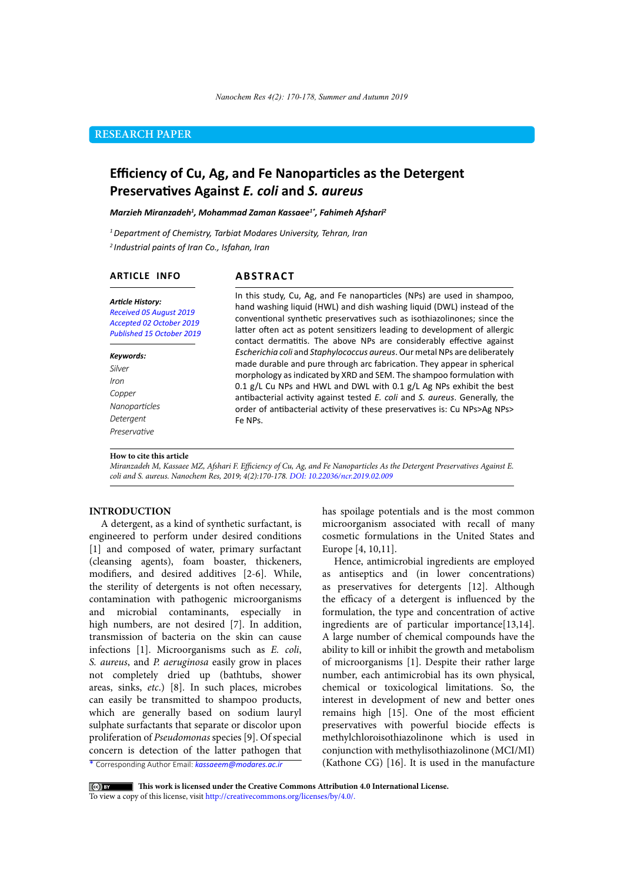## **RESEARCH PAPER**

# **Efficiency of Cu, Ag, and Fe Nanoparticles as the Detergent Preservatives Against** *E. coli* **and** *S. aureus*

#### *Marzieh Miranzadeh1 , Mohammad Zaman Kassaee1\*, Fahimeh Afshari2*

*1 Department of Chemistry, Tarbiat Modares University, Tehran, Iran 2 Industrial paints of Iran Co., Isfahan, Iran*

## **ARTICLE INFO**

## **ABSTRACT**

*Article History: Received 05 August 2019 Accepted 02 October 2019 Published 15 October 2019*

#### *Keywords: Silver*

*Iron Copper Nanoparticles Detergent Preservative*

In this study, Cu, Ag, and Fe nanoparticles (NPs) are used in shampoo, hand washing liquid (HWL) and dish washing liquid (DWL) instead of the conventional synthetic preservatives such as isothiazolinones; since the latter often act as potent sensitizers leading to development of allergic contact dermatitis. The above NPs are considerably effective against *Escherichia coli* and *Staphylococcus aureus*. Our metal NPs are deliberately made durable and pure through arc fabrication. They appear in spherical morphology as indicated by XRD and SEM. The shampoo formulation with 0.1 g/L Cu NPs and HWL and DWL with 0.1 g/L Ag NPs exhibit the best antibacterial activity against tested *E. coli* and *S. aureus*. Generally, the order of antibacterial activity of these preservatives is: Cu NPs>Ag NPs> Fe NPs.

#### **How to cite this article**

*Miranzadeh M, Kassaee MZ, Afshari F. Efficiency of Cu, Ag, and Fe Nanoparticles As the Detergent Preservatives Against E. coli and S. aureus. Nanochem Res, 2019; 4(2):170-178. DOI: 10.22036/ncr.2019.02.009*

## **INTRODUCTION**

A detergent, as a kind of synthetic surfactant, is engineered to perform under desired conditions [1] and composed of water, primary surfactant (cleansing agents), foam boaster, thickeners, modifiers, and desired additives [2-6]. While, the sterility of detergents is not often necessary, contamination with pathogenic microorganisms and microbial contaminants, especially in high numbers, are not desired [7]. In addition, transmission of bacteria on the skin can cause infections [1]. Microorganisms such as *E. coli*, *S. aureus*, and *P. aeruginosa* easily grow in places not completely dried up (bathtubs, shower areas, sinks, *etc*.) [8]. In such places, microbes can easily be transmitted to shampoo products, which are generally based on sodium lauryl sulphate surfactants that separate or discolor upon proliferation of *Pseudomonas* species [9]. Of special concern is detection of the latter pathogen that

\* Corresponding Author Email: *kassaeem@modares.ac.ir*

has spoilage potentials and is the most common microorganism associated with recall of many cosmetic formulations in the United States and Europe [4, 10,11].

Hence, antimicrobial ingredients are employed as antiseptics and (in lower concentrations) as preservatives for detergents [12]. Although the efficacy of a detergent is influenced by the formulation, the type and concentration of active ingredients are of particular importance[13,14]. A large number of chemical compounds have the ability to kill or inhibit the growth and metabolism of microorganisms [1]. Despite their rather large number, each antimicrobial has its own physical, chemical or toxicological limitations. So, the interest in development of new and better ones remains high [15]. One of the most efficient preservatives with powerful biocide effects is methylchloroisothiazolinone which is used in conjunction with methylisothiazolinone (MCI/MI) (Kathone CG) [16]. It is used in the manufacture

 **This work is licensed under the Creative Commons Attribution 4.0 International License.** 

To view a copy of this license, visit [http://creativecommons.org/licenses/by/4.0/.](http://creativecommons.org/licenses/by/4.0/)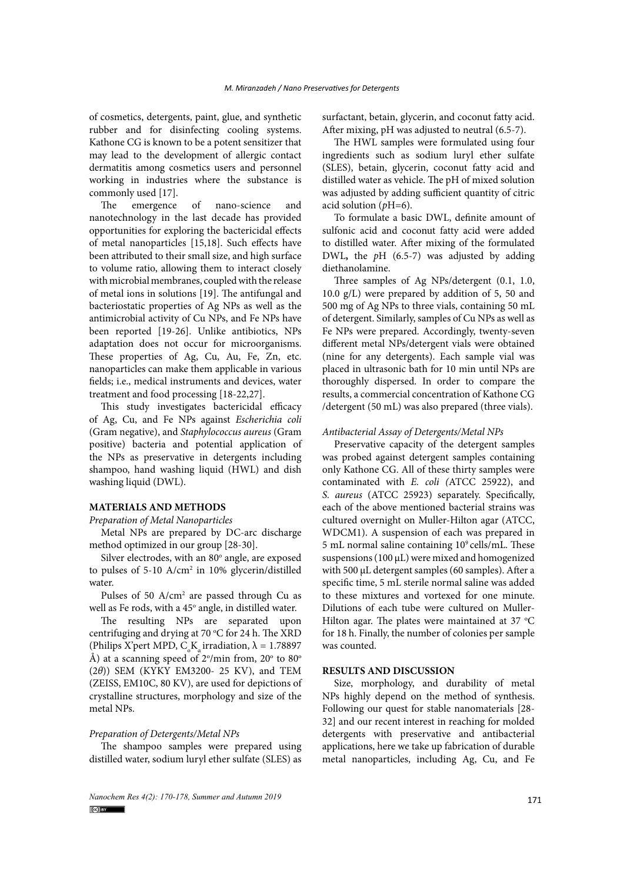of cosmetics, detergents, paint, glue, and synthetic rubber and for disinfecting cooling systems. Kathone CG is known to be a potent sensitizer that may lead to the development of allergic contact dermatitis among cosmetics users and personnel working in industries where the substance is commonly used [17].

The emergence of nano-science and nanotechnology in the last decade has provided opportunities for exploring the bactericidal effects of metal nanoparticles [15,18]. Such effects have been attributed to their small size, and high surface to volume ratio, allowing them to interact closely with microbial membranes, coupled with the release of metal ions in solutions [19]. The antifungal and bacteriostatic properties of Ag NPs as well as the antimicrobial activity of Cu NPs, and Fe NPs have been reported [19-26]. Unlike antibiotics, NPs adaptation does not occur for microorganisms. These properties of Ag, Cu, Au, Fe, Zn, etc. nanoparticles can make them applicable in various fields; i.e., medical instruments and devices, water treatment and food processing [18-22,27].

This study investigates bactericidal efficacy of Ag, Cu, and Fe NPs against *Escherichia coli* (Gram negative), and *Staphylococcus aureus* (Gram positive) bacteria and potential application of the NPs as preservative in detergents including shampoo, hand washing liquid (HWL) and dish washing liquid (DWL).

### **MATERIALS AND METHODS**

*Preparation of Metal Nanoparticles*

Metal NPs are prepared by DC-arc discharge method optimized in our group [28-30].

Silver electrodes, with an 80° angle, are exposed to pulses of 5-10 A/cm<sup>2</sup> in 10% glycerin/distilled water.

Pulses of 50  $A/cm<sup>2</sup>$  are passed through Cu as well as Fe rods, with a 45° angle, in distilled water.

The resulting NPs are separated upon centrifuging and drying at 70  $\rm{^{\circ}C}$  for 24 h. The XRD (Philips X'pert MPD,  $C_{\alpha}K_{\alpha}$  irradiation,  $\lambda = 1.78897$ Å) at a scanning speed of 2°/min from, 20° to 80° (2*θ*)) SEM (KYKY EM3200- 25 KV), and TEM (ZEISS, EM10C, 80 KV), are used for depictions of crystalline structures, morphology and size of the metal NPs.

## *Preparation of Detergents/Metal NPs*

The shampoo samples were prepared using distilled water, sodium luryl ether sulfate (SLES) as

171 *Nanochem Res 4(2): 170-178, Summer and Autumn 2019*

surfactant, betain, glycerin, and coconut fatty acid. After mixing, pH was adjusted to neutral (6.5-7).

The HWL samples were formulated using four ingredients such as sodium luryl ether sulfate (SLES), betain, glycerin, coconut fatty acid and distilled water as vehicle. The pH of mixed solution was adjusted by adding sufficient quantity of [citric](https://www.sciencedirect.com/topics/medicine-and-dentistry/citrate) [acid](https://www.sciencedirect.com/topics/medicine-and-dentistry/citrate) solution (*p*H=6).

To formulate a basic DWL, definite amount of sulfonic acid and coconut fatty acid were added to distilled water. After mixing of the formulated DWL**,** the *p*H (6.5-7) was adjusted by adding diethanolamine.

Three samples of Ag NPs/detergent (0.1, 1.0, 10.0 g/L) were prepared by addition of 5, 50 and 500 mg of Ag NPs to three vials, containing 50 mL of detergent. Similarly, samples of Cu NPs as well as Fe NPs were prepared. Accordingly, twenty-seven different metal NPs/detergent vials were obtained (nine for any detergents). Each sample vial was placed in ultrasonic bath for 10 min until NPs are thoroughly dispersed. In order to compare the results, a commercial concentration of Kathone CG /detergent (50 mL) was also prepared (three vials).

## *Antibacterial Assay of Detergents/Metal NPs*

Preservative capacity of the detergent samples was probed against detergent samples containing only Kathone CG. All of these thirty samples were contaminated with *E. coli (*ATCC 25922), and *S. aureus* (ATCC 25923) separately. Specifically, each of the above mentioned bacterial strains was cultured overnight on Muller-Hilton agar (ATCC, WDCM1). A suspension of each was prepared in 5 mL normal saline containing 109 cells/mL. These suspensions (100 μL) were mixed and homogenized with 500 μL detergent samples (60 samples). After a specific time, 5 mL sterile normal saline was added to these mixtures and vortexed for one minute. Dilutions of each tube were cultured on Muller-Hilton agar. The plates were maintained at 37  $^{\circ}$ C for 18 h. Finally, the number of colonies per sample was counted.

## **RESULTS AND DISCUSSION**

Size, morphology, and durability of metal NPs highly depend on the method of synthesis. Following our quest for stable nanomaterials [28- 32] and our recent interest in reaching for molded detergents with preservative and antibacterial applications, here we take up fabrication of durable metal nanoparticles, including Ag, Cu, and Fe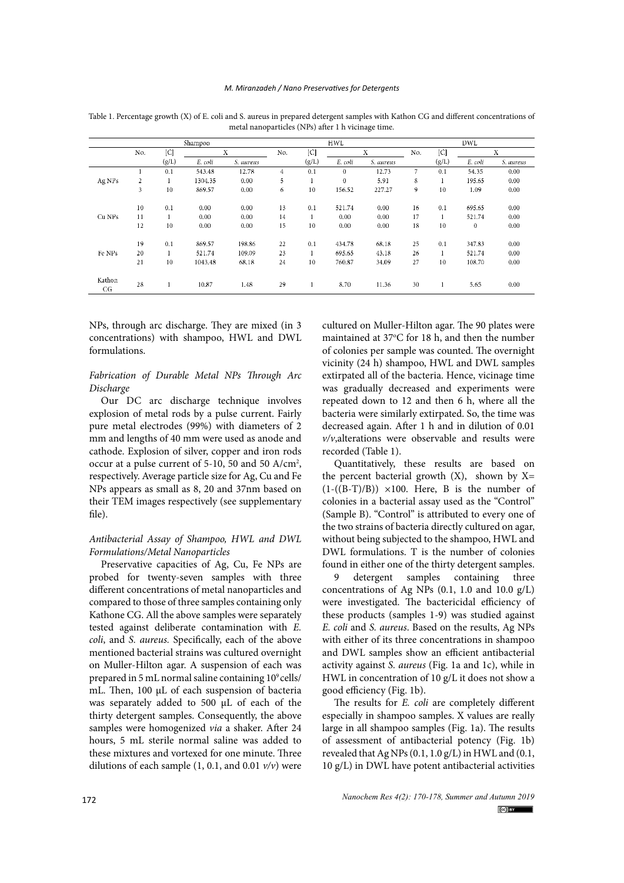#### *M. Miranzadeh / Nano Preservatives for Detergents*

|              | Shampoo        |       |         |           |     |              | <b>HWL</b> |           | <b>DWL</b> |                     |          |           |  |
|--------------|----------------|-------|---------|-----------|-----|--------------|------------|-----------|------------|---------------------|----------|-----------|--|
|              | No.            | C     | X       |           | No. | C            | X          |           | No.        | $\lfloor C \rfloor$ | X        |           |  |
|              |                | (g/L) | E. coli | S. aureus |     | (g/L)        | E. coli    | S. aureus |            | (g/L)               | E. coli  | S. aureus |  |
| Ag NPs       |                | 0.1   | 543.48  | 12.78     | 4   | 0.1          | $\theta$   | 12.73     | 7          | 0.1                 | 54.35    | 0.00      |  |
|              | $\overline{2}$ |       | 1304.35 | 0.00      | 5   |              | $\theta$   | 5.91      | 8          |                     | 195.65   | 0.00      |  |
|              | 3              | 10    | 869.57  | 0.00      | 6   | 10           | 156.52     | 227.27    | 9          | 10                  | 1.09     | 0.00      |  |
|              | 10             | 0.1   | 0.00    | 0.00      | 13  | 0.1          | 521.74     | 0.00      | 16         | 0.1                 | 695.65   | 0.00      |  |
| Cu NPs       | 11             |       | 0.00    | 0.00      | 14  | $\mathbf{1}$ | 0.00       | 0.00      | 17         |                     | 521.74   | 0.00      |  |
|              | 12             | 10    | 0.00    | 0.00      | 15  | 10           | 0.00       | 0.00      | 18         | 10                  | $\theta$ | 0.00      |  |
|              | 19             | 0.1   | 869.57  | 198.86    | 22  | 0.1          | 434.78     | 68.18     | 25         | 0.1                 | 347.83   | 0.00      |  |
| Fe NPs       | 20             |       | 521.74  | 109.09    | 23  | 1            | 695.65     | 43.18     | 26         |                     | 521.74   | 0.00      |  |
|              | 21             | 10    | 1043.48 | 68.18     | 24  | 10           | 760.87     | 34.09     | 27         | 10                  | 108.70   | 0.00      |  |
| Kathon<br>CG | 28             |       | 10.87   | 1.48      | 29  | 1            | 8.70       | 11.36     | 30         |                     | 5.65     | 0.00      |  |

Table 1. Percentage growth (X) of E. coli and S. aureus in prepared detergent samples with Kathon CG and different concentrations of metal nanoparticles (NPs) after 1 h vicinage time.

NPs, through arc discharge. They are mixed (in 3 concentrations) with shampoo, HWL and DWL formulations.

## *Fabrication of Durable Metal NPs Through Arc Discharge*

Our DC arc discharge technique involves explosion of metal rods by a pulse current. Fairly pure metal electrodes (99%) with diameters of 2 mm and lengths of 40 mm were used as anode and cathode. Explosion of silver, copper and iron rods occur at a pulse current of 5-10, 50 and 50 A/cm<sup>2</sup>, respectively. Average particle size for Ag, Cu and Fe NPs appears as small as 8, 20 and 37nm based on their TEM images respectively (see supplementary file).

## *Antibacterial Assay of Shampoo, HWL and DWL Formulations/Metal Nanoparticles*

Preservative capacities of Ag, Cu, Fe NPs are probed for twenty-seven samples with three different concentrations of metal nanoparticles and compared to those of three samples containing only Kathone CG. All the above samples were separately tested against deliberate contamination with *E. coli*, and *S. aureus.* Specifically, each of the above mentioned bacterial strains was cultured overnight on Muller-Hilton agar. A suspension of each was prepared in 5 mL normal saline containing  $10^9$  cells/ mL. Then, 100 μL of each suspension of bacteria was separately added to 500 μL of each of the thirty detergent samples. Consequently, the above samples were homogenized *via* a shaker. After 24 hours, 5 mL sterile normal saline was added to these mixtures and vortexed for one minute. Three dilutions of each sample (1, 0.1, and 0.01 *v/v*) were cultured on Muller-Hilton agar. The 90 plates were maintained at  $37^{\circ}$ C for 18 h, and then the number of colonies per sample was counted. The overnight vicinity (24 h) shampoo, HWL and DWL samples extirpated all of the bacteria. Hence, vicinage time was gradually decreased and experiments were repeated down to 12 and then 6 h, where all the bacteria were similarly extirpated. So, the time was decreased again. After 1 h and in dilution of 0.01 *v/v*,alterations were observable and results were recorded (Table 1).

Quantitatively, these results are based on the percent bacterial growth  $(X)$ , shown by  $X=$  $(1-(\overline{(B-T)/B})) \times 100$ . Here, B is the number of colonies in a bacterial assay used as the "Control" (Sample B). "Control" is attributed to every one of the two strains of bacteria directly cultured on agar, without being subjected to the shampoo, HWL and DWL formulations. T is the number of colonies found in either one of the thirty detergent samples.

9 detergent samples containing three concentrations of Ag NPs (0.1, 1.0 and 10.0 g/L) were investigated. The bactericidal efficiency of these products (samples 1-9) was studied against *E. coli* and *S. aureus*. Based on the results, Ag NPs with either of its three concentrations in shampoo and DWL samples show an efficient antibacterial activity against *S. aureus* (Fig. 1a and 1c), while in HWL in concentration of 10 g/L it does not show a good efficiency (Fig. 1b).

The results for *E. coli* are completely different especially in shampoo samples. X values are really large in all shampoo samples (Fig. 1a). The results of assessment of antibacterial potency (Fig. 1b) revealed that Ag NPs  $(0.1, 1.0 g/L)$  in HWL and  $(0.1, 1.0 g/L)$ 10 g/L) in DWL have potent antibacterial activities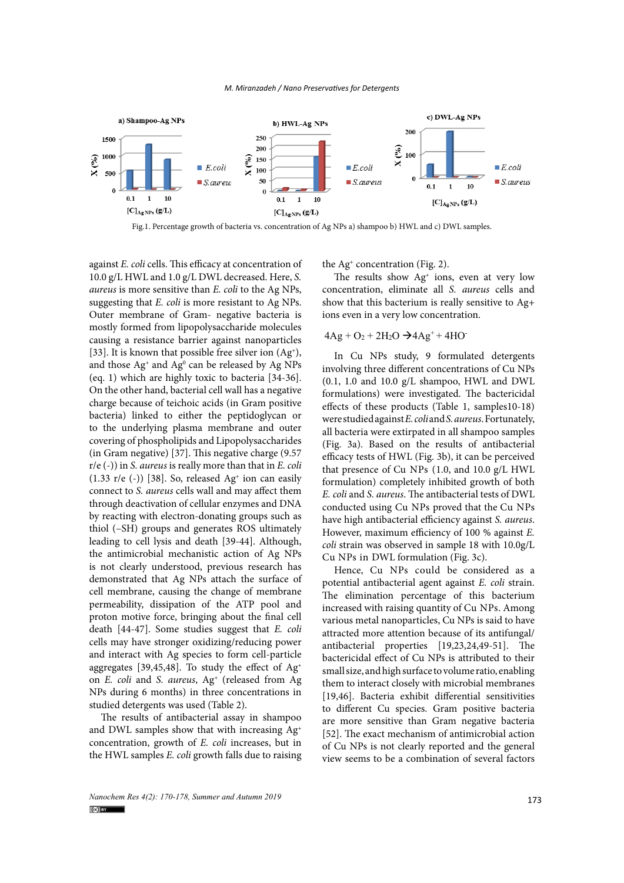

Fig.1. Percentage growth of bacteria vs. concentration of Ag NPs a) shampoo b) HWL and c) DWL samples.

against *E. coli* cells. This efficacy at concentration of 10.0 g/L HWL and 1.0 g/L DWL decreased. Here, *S. aureus* is more sensitive than *E. coli* to the Ag NPs, suggesting that *E. coli* is more resistant to Ag NPs. Outer membrane of Gram- negative bacteria is mostly formed from lipopolysaccharide molecules causing a resistance barrier against nanoparticles [33]. It is known that possible free silver ion  $(Ag<sup>+</sup>)$ , and those  $Ag^*$  and  $Ag^0$  can be released by Ag NPs (eq. 1) which are highly toxic to bacteria [34-36]. On the other hand, bacterial cell wall has a negative charge because of teichoic acids (in Gram positive effects of these products (Table 1, samples) bacteria) linked to either the peptidoglycan or to the underlying plasma membrane and outer covering of phospholipids and Lipopolysaccharides (in Gram negative) [37]. This negative charge (9.57 r/e (-)) in *S. aureus* is really more than that in *E. coli*  $(1.33 \text{ r/e } (-))$  [38]. So, released Ag<sup>+</sup> ion can easily connect to *S. aureus* cells wall and may affect them through deactivation of cellular enzymes and DNA by reacting with electron-donating groups such as thiol (–SH) groups and generates ROS ultimately leading to cell lysis and death [39-44]. Although, the antimicrobial mechanistic action of Ag NPs  $\epsilon_{\text{CL}}$  NPs in DWL formulation (Fig. 3c) is not clearly understood, previous research has demonstrated that Ag NPs attach the surface of cell membrane, causing the change of membrane permeability, dissipation of the ATP pool and proton motive force, bringing about the final cell death [44-47]. Some studies suggest that *E. coli* cells may have stronger oxidizing/reducing power and interact with Ag species to form cell-particle aggregates [39,45,48]. To study the effect of  $Ag<sup>+</sup>$ on *E. coli* and *S. aureus*, Ag+ (released from Ag NPs during 6 months) in three concentrations in studied detergents was used (Table 2).

The results of antibacterial assay in shampoo and DWL samples show that with increasing Ag+ concentration, growth of *E. coli* increases, but in the HWL samples *E. coli* growth falls due to raising the Ag<sup>+</sup> concentration (Fig. 2).

 $T = T$  The results show  $Ag<sup>+</sup>$  ions, even at very low g NPs, concentration, eliminate all *S. aureus* cells and g NPs. show that this bacterium is really sensitive to Ag+ ions even in a very low concentration.

 $\epsilon_{\rm{eff}}$ 

## $4Ag + O_2 + 2H_2O \rightarrow 4Ag^+ + 4HO^-$

In Cu NPs study, 9 formulated detergents involving three different concentrations of Cu NPs (0.1, 1.0 and 10.0 g/L shampoo, HWL and DWL formulations) were investigated. The bactericidal effects of these products (Table 1, samples10-18) were studied against *E. coli* and *S. aureus*. Fortunately, all bacteria were extirpated in all shampoo samples (Fig. 3a). Based on the results of antibacterial efficacy tests of HWL (Fig. 3b), it can be perceived that presence of Cu NPs (1.0, and 10.0 g/L HWL formulation) completely inhibited growth of both *E. coli* and *S. aureus*. The antibacterial tests of DWL conducted using Cu NPs proved that the Cu NPs have high antibacterial efficiency against *S. aureus*. However, maximum efficiency of 100 % against *E. coli* strain was observed in sample 18 with 10.0g/L Cu NPs in DWL formulation (Fig. 3c).

Hence, Cu NPs could be considered as a potential antibacterial agent against *E. coli* strain. The elimination percentage of this bacterium increased with raising quantity of Cu NPs. Among various metal nanoparticles, Cu NPs is said to have attracted more attention because of its antifungal/ antibacterial properties [19,23,24,49-51]. The bactericidal effect of Cu NPs is attributed to their small size, and high surface to volume ratio, enabling them to interact closely with microbial membranes [19,46]. Bacteria exhibit differential sensitivities to different Cu species. Gram positive bacteria are more sensitive than Gram negative bacteria [52]. The exact mechanism of antimicrobial action of Cu NPs is not clearly reported and the general view seems to be a combination of several factors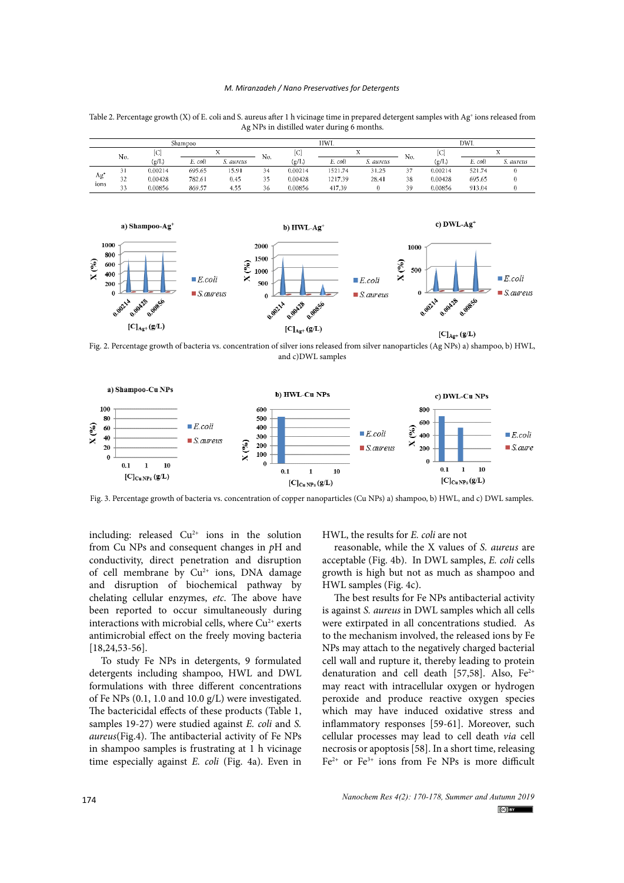#### *M. Miranzadeh / Nano Preservatives for Detergents*

Table 2. Percentage growth (X) of E. coli and S. aureus after 1 h vicinage time in prepared detergent samples with Ag<sup>+</sup> ions released from Ag NPs in distilled water during 6 months.

| Shampoo     |                  |         |         |           |              |         | HWL     |           | DWL              |          |         |           |
|-------------|------------------|---------|---------|-----------|--------------|---------|---------|-----------|------------------|----------|---------|-----------|
|             | No.              | ZD.     |         |           | No.          | [C]     |         |           | No.              | C        |         |           |
|             |                  | (g/L)   | E. coli | S. aureus |              | (g/L)   | E. coli | S. aureus |                  | $g/I$ .) | E. coli | S. aureus |
| Ag'<br>ions |                  | 0.00214 | 695.65  | 15.91     | 34           | 0.00214 | 1521.74 | 31.25     | $\sim$ $-$<br>57 | 0.00214  | 521.74  |           |
|             | 32               | 0.00428 | 782.61  | 0.45      | 25<br>$\sim$ | 0.00428 | 1217.39 | 28.41     | 38               | 0.00428  | 695.65  |           |
|             | $\sim$<br>$\sim$ | 0.00856 | 869.57  | 4.55      | 36           | 0.00856 | 417.39  |           | 39               | 0.00856  | 913.04  |           |



**Fig. 2** Percentration of silver  $\frac{1}{2}$  and c)DWL samples **Fig. 2** Percentage growth of bacteria *vs*. concentration of silver ions released from silver nanoparticles (Ag NPs) a) shampoo, b) HWL, and c) Fig. 2. Percentage growth of bacteria vs. concentration of silver ions released from silver nanoparticles (Ag NPs) a) shampoo, b) HWL,



Fig. 3. Percentage growth of bacteria vs. concentration of copper nanoparticles (Cu NPs) a) shampoo, b) HWL, and c) DWL samples.

including: released  $Cu^{2+}$  ions in the solution from Cu NPs and consequent changes in *p*H and conductivity, direct penetration and disruption of cell membrane by  $Cu^{2+}$  ions, DNA damage and disruption of biochemical pathway by chelating cellular enzymes, *etc*. The above have been reported to occur simultaneously during interactions with microbial cells, where  $Cu^{2+}$  exerts antimicrobial effect on the freely moving bacteria [18,24,53-56].

To study Fe NPs in detergents, 9 formulated detergents including shampoo, HWL and DWL formulations with three different concentrations of Fe NPs (0.1, 1.0 and 10.0 g/L) were investigated. The bactericidal effects of these products (Table 1, samples 19-27) were studied against *E. coli* and *S. aureus*(Fig.4). The antibacterial activity of Fe NPs in shampoo samples is frustrating at 1 h vicinage time especially against *E. coli* (Fig. 4a). Even in

HWL, the results for *E. coli* are not

reasonable, while the X values of *S. aureus* are acceptable (Fig. 4b). In DWL samples, *E. coli* cells growth is high but not as much as shampoo and HWL samples (Fig. 4c).

The best results for Fe NPs antibacterial activity is against *S. aureus* in DWL samples which all cells were extirpated in all concentrations studied. As to the mechanism involved, the released ions by Fe NPs may attach to the negatively charged bacterial cell wall and rupture it, thereby leading to protein denaturation and cell death [57,58]. Also,  $Fe^{2+}$ may react with intracellular oxygen or hydrogen peroxide and produce reactive oxygen species which may have induced oxidative stress and inflammatory responses [59-61]. Moreover, such cellular processes may lead to cell death *via* cell necrosis or apoptosis [58]. In a short time, releasing  $Fe^{2+}$  or  $Fe^{3+}$  ions from Fe NPs is more difficult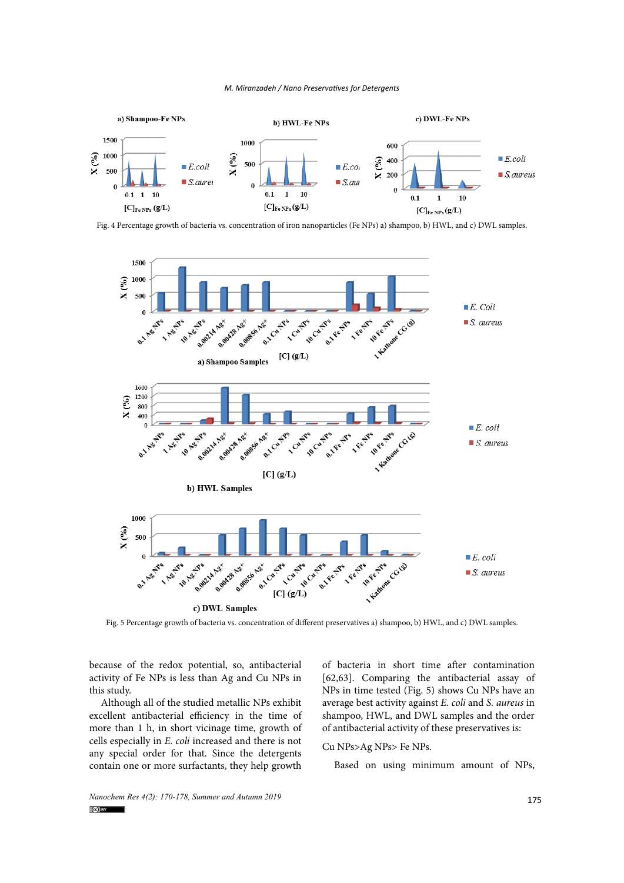



Fig. 4 Percentage growth of bacteria vs. concentration of iron nanoparticles (Fe NPs) a) shampoo, b) HWL, and c) DWL samples.



Fig. 5 Percentage growth of bacteria vs. concentration of different preservatives a) shampoo, b) HWL, and c) DWL samples.

because of the redox potential, so, antibacterial of bacteria in short time after contami activity of Fe NPs is less than Ag and Cu NPs in this study.

Although all of the studied metallic NPs exhibit excellent antibacterial efficiency in the time of more than 1 h, in short vicinage time, growth of of antibacterial activity of these preservati cells especially in *E. coli* increased and there is not any special order for that. Since the detergents contain one or more surfactants, they help growth

of bacteria in short time after contamination [62,63]. Comparing the antibacterial assay of ndy. The extent of backeria *v* Percentage growth of the backeria *v* Percentage growth of the backeria *vs*. NPs in time tested (Fig. 5) shows Cu NPs have an average best activity against *E. coli* and *S. aureus* in shampoo, HWL, and DWL samples and the order of antibacterial activity of these preservatives is:

## Cu NPs>Ag NPs> Fe NPs.

Based on using minimum amount of NPs,

*Nanochem Res 4(2): 170-178, Summer and Autumn 2019* **175 175**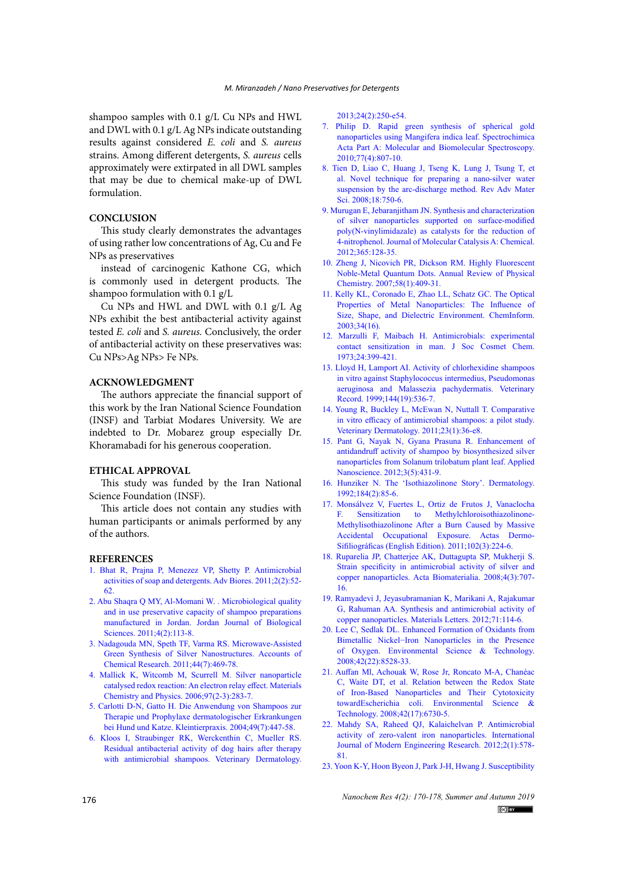shampoo samples with 0.1 g/L Cu NPs and HWL and DWL with 0.1 g/L Ag NPs indicate outstanding results against considered *E. coli* and *S. aureus*  strains. Among different detergents, *S. aureus* cells approximately were extirpated in all DWL samples that may be due to chemical make-up of DWL formulation.

## **CONCLUSION**

This study clearly demonstrates the advantages of using rather low concentrations of Ag, Cu and Fe NPs as preservatives

instead of carcinogenic Kathone CG, which is commonly used in detergent products. The shampoo formulation with 0.1 g/L

Cu NPs and HWL and DWL with 0.1 g/L Ag NPs exhibit the best antibacterial activity against tested *E. coli* and *S. aureus.* Conclusively, the order of antibacterial activity on these preservatives was: Cu NPs>Ag NPs> Fe NPs.

#### **ACKNOWLEDGMENT**

The authors appreciate the financial support of this work by the Iran National Science Foundation (INSF) and Tarbiat Modares University. We are indebted to Dr. Mobarez group especially Dr. Khoramabadi for his generous cooperation.

#### **ETHICAL APPROVAL**

This study was funded by the Iran National Science Foundation (INSF).

This article does not contain any studies with human participants or animals performed by any of the authors.

#### **REFERENCES**

- 1. Bhat R, Prajna P, Menezez VP, Shetty P. Antimicrobial activities of soap and detergents. Adv Biores. 2011;2(2):52- 62.
- 2. Abu Shaqra Q MY, Al-Momani W. . Microbiological quality and in use preservative capacity of shampoo preparations manufactured in Jordan. Jordan Journal of Biological Sciences. 2011;4(2):113-8.
- 3. [Nadagouda MN, Speth TF, Varma RS. Microwave-Assisted](http://dx.doi.org/10.1021/ar1001457)  [Green Synthesis of Silver Nanostructures. Accounts of](http://dx.doi.org/10.1021/ar1001457)  [Chemical Research. 2011;44\(7\):469-78.](http://dx.doi.org/10.1021/ar1001457)
- 4. [Mallick K, Witcomb M, Scurrell M. Silver nanoparticle](http://dx.doi.org/10.1016/j.matchemphys.2005.08.011)  [catalysed redox reaction: An electron relay effect. Materials](http://dx.doi.org/10.1016/j.matchemphys.2005.08.011)  [Chemistry and Physics. 2006;97\(2-3\):283-7.](http://dx.doi.org/10.1016/j.matchemphys.2005.08.011)
- 5. Carlotti D-N, Gatto H. Die Anwendung von Shampoos zur Therapie und Prophylaxe dermatologischer Erkrankungen bei Hund und Katze. Kleintierpraxis. 2004;49(7):447-58.
- 6. [Kloos I, Straubinger RK, Werckenthin C, Mueller RS.](http://dx.doi.org/10.1111/vde.12012)  [Residual antibacterial activity of dog hairs after therapy](http://dx.doi.org/10.1111/vde.12012)  [with antimicrobial shampoos. Veterinary Dermatology.](http://dx.doi.org/10.1111/vde.12012)

[2013;24\(2\):250-e54.](http://dx.doi.org/10.1111/vde.12012)

- 7. [Philip D. Rapid green synthesis of spherical gold](http://dx.doi.org/10.1016/j.saa.2010.08.008) [nanoparticles using Mangifera indica leaf. Spectrochimica](http://dx.doi.org/10.1016/j.saa.2010.08.008) [Acta Part A: Molecular and Biomolecular Spectroscopy.](http://dx.doi.org/10.1016/j.saa.2010.08.008) [2010;77\(4\):807-10.](http://dx.doi.org/10.1016/j.saa.2010.08.008)
- 8. Tien D, Liao C, Huang J, Tseng K, Lung J, Tsung T, et al. Novel technique for preparing a nano-silver water suspension by the arc-discharge method. Rev Adv Mater Sci. 2008;18:750-6.
- 9. [Murugan E, Jebaranjitham JN. Synthesis and characterization](http://dx.doi.org/10.1016/j.molcata.2012.08.021) [of silver nanoparticles supported on surface-modified](http://dx.doi.org/10.1016/j.molcata.2012.08.021) [poly\(N-vinylimidazale\) as catalysts for the reduction of](http://dx.doi.org/10.1016/j.molcata.2012.08.021) [4-nitrophenol. Journal of Molecular Catalysis A: Chemical.](http://dx.doi.org/10.1016/j.molcata.2012.08.021) [2012;365:128-35.](http://dx.doi.org/10.1016/j.molcata.2012.08.021)
- 10. [Zheng J, Nicovich PR, Dickson RM. Highly Fluorescent](http://dx.doi.org/10.1146/annurev.physchem.58.032806.104546) [Noble-Metal Quantum Dots. Annual Review of Physical](http://dx.doi.org/10.1146/annurev.physchem.58.032806.104546) [Chemistry. 2007;58\(1\):409-31.](http://dx.doi.org/10.1146/annurev.physchem.58.032806.104546)
- 11. [Kelly KL, Coronado E, Zhao LL, Schatz GC. The Optical](http://dx.doi.org/10.1002/chin.200316243) [Properties of Metal Nanoparticles: The Influence of](http://dx.doi.org/10.1002/chin.200316243) [Size, Shape, and Dielectric Environment. ChemInform.](http://dx.doi.org/10.1002/chin.200316243) [2003;34\(16\).](http://dx.doi.org/10.1002/chin.200316243)
- 12. Marzulli F, Maibach H. Antimicrobials: experimental contact sensitization in man. J Soc Cosmet Chem. 1973;24:399-421.
- 13. [Lloyd H, Lamport AI. Activity of chlorhexidine shampoos](http://dx.doi.org/10.1136/vr.144.19.536) [in vitro against Staphylococcus intermedius, Pseudomonas](http://dx.doi.org/10.1136/vr.144.19.536) [aeruginosa and Malassezia pachydermatis. Veterinary](http://dx.doi.org/10.1136/vr.144.19.536) [Record. 1999;144\(19\):536-7.](http://dx.doi.org/10.1136/vr.144.19.536)
- 14. [Young R, Buckley L, McEwan N, Nuttall T. Comparative](http://dx.doi.org/10.1111/j.1365-3164.2011.01002.x) [in vitro efficacy of antimicrobial shampoos: a pilot study.](http://dx.doi.org/10.1111/j.1365-3164.2011.01002.x) [Veterinary Dermatology. 2011;23\(1\):36-e8.](http://dx.doi.org/10.1111/j.1365-3164.2011.01002.x)
- 15. [Pant G, Nayak N, Gyana Prasuna R. Enhancement of](http://dx.doi.org/10.1007/s13204-012-0164-y) [antidandruff activity of shampoo by biosynthesized silver](http://dx.doi.org/10.1007/s13204-012-0164-y) [nanoparticles from Solanum trilobatum plant leaf. Applied](http://dx.doi.org/10.1007/s13204-012-0164-y) [Nanoscience. 2012;3\(5\):431-9.](http://dx.doi.org/10.1007/s13204-012-0164-y)
- 16. [Hunziker N. The 'Isothiazolinone Story'. Dermatology.](http://dx.doi.org/10.1159/000247509) [1992;184\(2\):85-6.](http://dx.doi.org/10.1159/000247509)
- 17. [Monsálvez V, Fuertes L, Ortiz de Frutos J, Vanaclocha](http://dx.doi.org/10.1016/s1578-2190(11)70792-2) [F. Sensitization to Methylchloroisothiazolinone-](http://dx.doi.org/10.1016/s1578-2190(11)70792-2)[Methylisothiazolinone After a Burn Caused by Massive](http://dx.doi.org/10.1016/s1578-2190(11)70792-2) [Accidental Occupational Exposure. Actas Dermo-](http://dx.doi.org/10.1016/s1578-2190(11)70792-2)[Sifiliográficas \(English Edition\). 2011;102\(3\):224-6.](http://dx.doi.org/10.1016/s1578-2190(11)70792-2)
- 18. [Ruparelia JP, Chatterjee AK, Duttagupta SP, Mukherji S.](http://dx.doi.org/10.1016/j.actbio.2007.11.006) [Strain specificity in antimicrobial activity of silver and](http://dx.doi.org/10.1016/j.actbio.2007.11.006) [copper nanoparticles. Acta Biomaterialia. 2008;4\(3\):707-](http://dx.doi.org/10.1016/j.actbio.2007.11.006) [16.](http://dx.doi.org/10.1016/j.actbio.2007.11.006)
- 19. [Ramyadevi J, Jeyasubramanian K, Marikani A, Rajakumar](http://dx.doi.org/10.1016/j.matlet.2011.12.055) [G, Rahuman AA. Synthesis and antimicrobial activity of](http://dx.doi.org/10.1016/j.matlet.2011.12.055) [copper nanoparticles. Materials Letters. 2012;71:114-6.](http://dx.doi.org/10.1016/j.matlet.2011.12.055)
- 20. [Lee C, Sedlak DL. Enhanced Formation of Oxidants from](http://dx.doi.org/10.1021/es801947h) [Bimetallic Nickel−Iron Nanoparticles in the Presence](http://dx.doi.org/10.1021/es801947h) [of Oxygen. Environmental Science & Technology.](http://dx.doi.org/10.1021/es801947h) [2008;42\(22\):8528-33.](http://dx.doi.org/10.1021/es801947h)
- 21. [Auffan Ml, Achouak W, Rose Jr, Roncato M-A, Chanéac](http://dx.doi.org/10.1021/es800086f) [C, Waite DT, et al. Relation between the Redox State](http://dx.doi.org/10.1021/es800086f) [of Iron-Based Nanoparticles and Their Cytotoxicity](http://dx.doi.org/10.1021/es800086f) [towardEscherichia coli. Environmental Science &](http://dx.doi.org/10.1021/es800086f) [Technology. 2008;42\(17\):6730-5.](http://dx.doi.org/10.1021/es800086f)
- 22. Mahdy SA, Raheed QJ, Kalaichelvan P. Antimicrobial activity of zero-valent iron nanoparticles. International Journal of Modern Engineering Research. 2012;2(1):578- 81.
- 23. [Yoon K-Y, Hoon Byeon J, Park J-H, Hwang J. Susceptibility](http://dx.doi.org/10.1016/j.scitotenv.2006.11.007)

*Nanochem Res 4(2): 170-178, Summer and Autumn 2019*  $(c)$  BY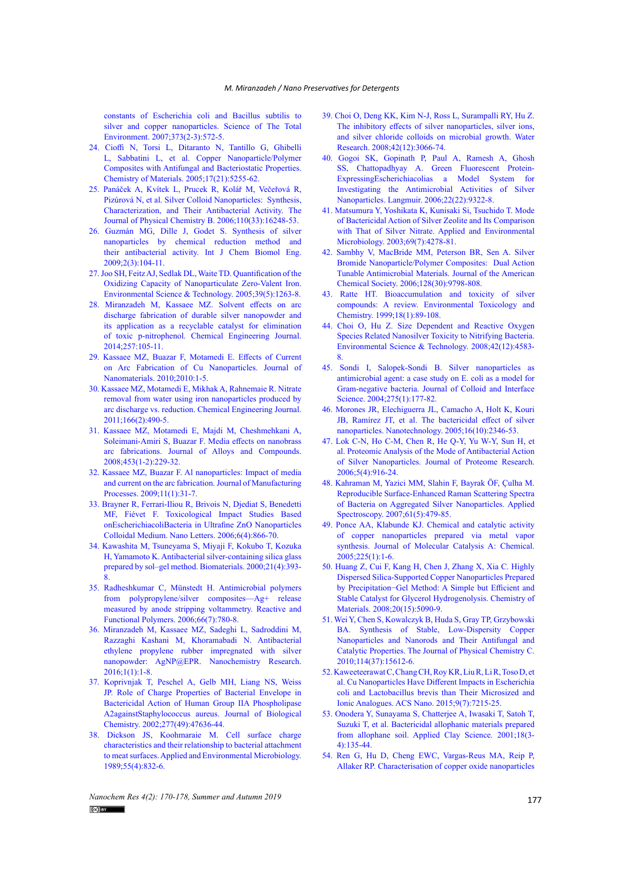[constants of Escherichia coli and Bacillus subtilis to](http://dx.doi.org/10.1016/j.scitotenv.2006.11.007)  [silver and copper nanoparticles. Science of The Total](http://dx.doi.org/10.1016/j.scitotenv.2006.11.007)  [Environment. 2007;373\(2-3\):572-5.](http://dx.doi.org/10.1016/j.scitotenv.2006.11.007)

- 24. [Cioffi N, Torsi L, Ditaranto N, Tantillo G, Ghibelli](http://dx.doi.org/10.1021/cm0505244)  [L, Sabbatini L, et al. Copper Nanoparticle/Polymer](http://dx.doi.org/10.1021/cm0505244)  [Composites with Antifungal and Bacteriostatic Properties.](http://dx.doi.org/10.1021/cm0505244)  [Chemistry of Materials. 2005;17\(21\):5255-62.](http://dx.doi.org/10.1021/cm0505244)
- 25. [Panáček A, Kvítek L, Prucek R, Kolář M, Večeřová R,](http://dx.doi.org/10.1021/jp063826h)  [Pizúrová N, et al. Silver Colloid Nanoparticles: Synthesis,](http://dx.doi.org/10.1021/jp063826h)  [Characterization, and Their Antibacterial Activity. The](http://dx.doi.org/10.1021/jp063826h)  [Journal of Physical Chemistry B. 2006;110\(33\):16248-53.](http://dx.doi.org/10.1021/jp063826h)
- 26. Guzmán MG, Dille J, Godet S. Synthesis of silver nanoparticles by chemical reduction method and their antibacterial activity. Int J Chem Biomol Eng. 2009;2(3):104-11.
- 27.[Joo SH, Feitz AJ, Sedlak DL, Waite TD. Quantification of the](http://dx.doi.org/10.1021/es048983d)  [Oxidizing Capacity of Nanoparticulate Zero-Valent Iron.](http://dx.doi.org/10.1021/es048983d)  [Environmental Science & Technology. 2005;39\(5\):1263-8.](http://dx.doi.org/10.1021/es048983d)
- 28. [Miranzadeh M, Kassaee MZ. Solvent effects on arc](http://dx.doi.org/10.1016/j.cej.2014.06.088)  [discharge fabrication of durable silver nanopowder and](http://dx.doi.org/10.1016/j.cej.2014.06.088)  [its application as a recyclable catalyst for elimination](http://dx.doi.org/10.1016/j.cej.2014.06.088)  [of toxic p-nitrophenol. Chemical Engineering Journal.](http://dx.doi.org/10.1016/j.cej.2014.06.088)  [2014;257:105-11.](http://dx.doi.org/10.1016/j.cej.2014.06.088)
- 29. [Kassaee MZ, Buazar F, Motamedi E. Effects of Current](http://dx.doi.org/10.1155/2010/403197)  [on Arc Fabrication of Cu Nanoparticles. Journal of](http://dx.doi.org/10.1155/2010/403197)  [Nanomaterials. 2010;2010:1-5.](http://dx.doi.org/10.1155/2010/403197)
- 30. [Kassaee MZ, Motamedi E, Mikhak A, Rahnemaie R. Nitrate](http://dx.doi.org/10.1016/j.cej.2010.10.077)  [removal from water using iron nanoparticles produced by](http://dx.doi.org/10.1016/j.cej.2010.10.077)  [arc discharge vs. reduction. Chemical Engineering Journal.](http://dx.doi.org/10.1016/j.cej.2010.10.077)  [2011;166\(2\):490-5.](http://dx.doi.org/10.1016/j.cej.2010.10.077)
- 31. [Kassaee MZ, Motamedi E, Majdi M, Cheshmehkani A,](http://dx.doi.org/10.1016/j.jallcom.2007.06.002)  [Soleimani-Amiri S, Buazar F. Media effects on nanobrass](http://dx.doi.org/10.1016/j.jallcom.2007.06.002)  [arc fabrications. Journal of Alloys and Compounds.](http://dx.doi.org/10.1016/j.jallcom.2007.06.002)  [2008;453\(1-2\):229-32.](http://dx.doi.org/10.1016/j.jallcom.2007.06.002)
- 32. [Kassaee MZ, Buazar F. Al nanoparticles: Impact of media](http://dx.doi.org/10.1016/j.jmapro.2009.04.002)  [and current on the arc fabrication. Journal of Manufacturing](http://dx.doi.org/10.1016/j.jmapro.2009.04.002)  [Processes. 2009;11\(1\):31-7.](http://dx.doi.org/10.1016/j.jmapro.2009.04.002)
- 33. [Brayner R, Ferrari-Iliou R, Brivois N, Djediat S, Benedetti](http://dx.doi.org/10.1021/nl052326h)  [MF, Fiévet F. Toxicological Impact Studies Based](http://dx.doi.org/10.1021/nl052326h)  [onEscherichiacoliBacteria in Ultrafine ZnO Nanoparticles](http://dx.doi.org/10.1021/nl052326h)  [Colloidal Medium. Nano Letters. 2006;6\(4\):866-70.](http://dx.doi.org/10.1021/nl052326h)
- 34. [Kawashita M, Tsuneyama S, Miyaji F, Kokubo T, Kozuka](http://dx.doi.org/10.1016/s0142-9612(99)00201-x)  [H, Yamamoto K. Antibacterial silver-containing silica glass](http://dx.doi.org/10.1016/s0142-9612(99)00201-x)  [prepared by sol–gel method. Biomaterials. 2000;21\(4\):393-](http://dx.doi.org/10.1016/s0142-9612(99)00201-x) [8.](http://dx.doi.org/10.1016/s0142-9612(99)00201-x)
- 35. [Radheshkumar C, Münstedt H. Antimicrobial polymers](http://dx.doi.org/10.1016/j.reactfunctpolym.2005.11.005)  [from polypropylene/silver composites—Ag+ release](http://dx.doi.org/10.1016/j.reactfunctpolym.2005.11.005)  [measured by anode stripping voltammetry. Reactive and](http://dx.doi.org/10.1016/j.reactfunctpolym.2005.11.005)  [Functional Polymers. 2006;66\(7\):780-8.](http://dx.doi.org/10.1016/j.reactfunctpolym.2005.11.005)
- 36. Miranzadeh M, Kassaee MZ, Sadeghi L, Sadroddini M, Razzaghi Kashani M, Khoramabadi N. Antibacterial ethylene propylene rubber impregnated with silver nanopowder: AgNP@EPR. Nanochemistry Research.  $2016;1(1):1-8.$
- 37. [Koprivnjak T, Peschel A, Gelb MH, Liang NS, Weiss](http://dx.doi.org/10.1074/jbc.m205104200)  [JP. Role of Charge Properties of Bacterial Envelope in](http://dx.doi.org/10.1074/jbc.m205104200)  [Bactericidal Action of Human Group IIA Phospholipase](http://dx.doi.org/10.1074/jbc.m205104200)  [A2againstStaphylococcus aureus. Journal of Biological](http://dx.doi.org/10.1074/jbc.m205104200)  [Chemistry. 2002;277\(49\):47636-44.](http://dx.doi.org/10.1074/jbc.m205104200)
- 38. [Dickson JS, Koohmaraie M. Cell surface charge](http://dx.doi.org/10.1128/aem.55.4.832-836.1989)  [characteristics and their relationship to bacterial attachment](http://dx.doi.org/10.1128/aem.55.4.832-836.1989)  [to meat surfaces. Applied and Environmental Microbiology.](http://dx.doi.org/10.1128/aem.55.4.832-836.1989)  [1989;55\(4\):832-6.](http://dx.doi.org/10.1128/aem.55.4.832-836.1989)
- 39. [Choi O, Deng KK, Kim N-J, Ross L, Surampalli RY, Hu Z.](http://dx.doi.org/10.1016/j.watres.2008.02.021) [The inhibitory effects of silver nanoparticles, silver ions,](http://dx.doi.org/10.1016/j.watres.2008.02.021) [and silver chloride colloids on microbial growth. Water](http://dx.doi.org/10.1016/j.watres.2008.02.021) [Research. 2008;42\(12\):3066-74.](http://dx.doi.org/10.1016/j.watres.2008.02.021)
- 40. [Gogoi SK, Gopinath P, Paul A, Ramesh A, Ghosh](http://dx.doi.org/10.1021/la060661v) [SS, Chattopadhyay A. Green Fluorescent Protein-](http://dx.doi.org/10.1021/la060661v)[ExpressingEscherichiacolias a Model System for](http://dx.doi.org/10.1021/la060661v) [Investigating the Antimicrobial Activities of Silver](http://dx.doi.org/10.1021/la060661v) [Nanoparticles. Langmuir. 2006;22\(22\):9322-8.](http://dx.doi.org/10.1021/la060661v)
- 41. [Matsumura Y, Yoshikata K, Kunisaki Si, Tsuchido T. Mode](http://dx.doi.org/10.1128/aem.69.7.4278-4281.2003) [of Bactericidal Action of Silver Zeolite and Its Comparison](http://dx.doi.org/10.1128/aem.69.7.4278-4281.2003) [with That of Silver Nitrate. Applied and Environmental](http://dx.doi.org/10.1128/aem.69.7.4278-4281.2003) [Microbiology. 2003;69\(7\):4278-81.](http://dx.doi.org/10.1128/aem.69.7.4278-4281.2003)
- 42. [Sambhy V, MacBride MM, Peterson BR, Sen A. Silver](http://dx.doi.org/10.1021/ja061442z) [Bromide Nanoparticle/Polymer Composites: Dual Action](http://dx.doi.org/10.1021/ja061442z) [Tunable Antimicrobial Materials. Journal of the American](http://dx.doi.org/10.1021/ja061442z) [Chemical Society. 2006;128\(30\):9798-808.](http://dx.doi.org/10.1021/ja061442z)
- 43. [Ratte HT. Bioaccumulation and toxicity of silver](http://dx.doi.org/10.1002/etc.5620180112) [compounds: A review. Environmental Toxicology and](http://dx.doi.org/10.1002/etc.5620180112) [Chemistry. 1999;18\(1\):89-108.](http://dx.doi.org/10.1002/etc.5620180112)
- 44. [Choi O, Hu Z. Size Dependent and Reactive Oxygen](http://dx.doi.org/10.1021/es703238h) [Species Related Nanosilver Toxicity to Nitrifying Bacteria.](http://dx.doi.org/10.1021/es703238h) [Environmental Science & Technology. 2008;42\(12\):4583-](http://dx.doi.org/10.1021/es703238h) [8.](http://dx.doi.org/10.1021/es703238h)
- 45. [Sondi I, Salopek-Sondi B. Silver nanoparticles as](http://dx.doi.org/10.1016/j.jcis.2004.02.012) [antimicrobial agent: a case study on E. coli as a](http://dx.doi.org/10.1016/j.jcis.2004.02.012) model for [Gram-negative bacteria. Journal of Colloid and Interface](http://dx.doi.org/10.1016/j.jcis.2004.02.012) [Science. 2004;275\(1\):177-82.](http://dx.doi.org/10.1016/j.jcis.2004.02.012)
- 46. [Morones JR, Elechiguerra JL, Camacho A, Holt K, Kouri](http://dx.doi.org/10.1088/0957-4484/16/10/059) [JB, Ramírez JT, et al. The bactericidal effect of silver](http://dx.doi.org/10.1088/0957-4484/16/10/059) [nanoparticles. Nanotechnology. 2005;16\(10\):2346-53.](http://dx.doi.org/10.1088/0957-4484/16/10/059)
- 47. [Lok C-N, Ho C-M, Chen R, He Q-Y, Yu W-Y, Sun H, et](http://dx.doi.org/10.1021/pr0504079) [al. Proteomic Analysis of the Mode of Antibacterial Action](http://dx.doi.org/10.1021/pr0504079) [of Silver Nanoparticles. Journal of Proteome Research.](http://dx.doi.org/10.1021/pr0504079) [2006;5\(4\):916-24.](http://dx.doi.org/10.1021/pr0504079)
- 48. [Kahraman M, Yazici MM, Slahin F, Bayrak ÖF, Çulha M.](http://dx.doi.org/10.1366/000370207780807731) [Reproducible Surface-Enhanced Raman Scattering Spectra](http://dx.doi.org/10.1366/000370207780807731) [of Bacteria on Aggregated Silver Nanoparticles. Applied](http://dx.doi.org/10.1366/000370207780807731) [Spectroscopy. 2007;61\(5\):479-85.](http://dx.doi.org/10.1366/000370207780807731)
- 49. [Ponce AA, Klabunde KJ. Chemical and catalytic activity](http://dx.doi.org/10.1016/j.molcata.2004.08.019) [of copper nanoparticles prepared via metal vapor](http://dx.doi.org/10.1016/j.molcata.2004.08.019) [synthesis. Journal of Molecular Catalysis A: Chemical.](http://dx.doi.org/10.1016/j.molcata.2004.08.019) [2005;225\(1\):1-6.](http://dx.doi.org/10.1016/j.molcata.2004.08.019)
- 50. [Huang Z, Cui F, Kang H, Chen J, Zhang X, Xia C. Highly](http://dx.doi.org/10.1021/cm8006233) [Dispersed Silica-Supported Copper Nanoparticles Prepared](http://dx.doi.org/10.1021/cm8006233) [by Precipitation−Gel Method: A Simple but Efficient and](http://dx.doi.org/10.1021/cm8006233) [Stable Catalyst for Glycerol Hydrogenolysis. Chemistry of](http://dx.doi.org/10.1021/cm8006233) [Materials. 2008;20\(15\):5090-9.](http://dx.doi.org/10.1021/cm8006233)
- 51. [Wei Y, Chen S, Kowalczyk B, Huda S, Gray TP, Grzybowski](http://dx.doi.org/10.1021/jp1055683) [BA. Synthesis of Stable, Low-Dispersity Copper](http://dx.doi.org/10.1021/jp1055683) [Nanoparticles and Nanorods and Their Antifungal and](http://dx.doi.org/10.1021/jp1055683) [Catalytic Properties. The Journal of Physical Chemistry C.](http://dx.doi.org/10.1021/jp1055683) [2010;114\(37\):15612-6.](http://dx.doi.org/10.1021/jp1055683)
- 52.[Kaweeteerawat C, Chang CH, Roy KR, Liu R, Li R, Toso D, et](http://dx.doi.org/10.1021/acsnano.5b02021) [al. Cu Nanoparticles Have Different Impacts in Escherichia](http://dx.doi.org/10.1021/acsnano.5b02021) [coli and Lactobacillus brevis than Their Microsized and](http://dx.doi.org/10.1021/acsnano.5b02021) [Ionic Analogues. ACS Nano. 2015;9\(7\):7215-25.](http://dx.doi.org/10.1021/acsnano.5b02021)
- 53. [Onodera Y, Sunayama S, Chatterjee A, Iwasaki T, Satoh T,](http://dx.doi.org/10.1016/s0169-1317(00)00039-9) [Suzuki T, et al. Bactericidal allophanic materials prepared](http://dx.doi.org/10.1016/s0169-1317(00)00039-9) [from allophane soil. Applied Clay Science. 2001;18\(3-](http://dx.doi.org/10.1016/s0169-1317(00)00039-9) [4\):135-44.](http://dx.doi.org/10.1016/s0169-1317(00)00039-9)
- 54. [Ren G, Hu D, Cheng EWC, Vargas-Reus MA, Reip P,](http://dx.doi.org/10.1016/j.ijantimicag.2008.12.004) [Allaker RP. Characterisation of copper oxide nanoparticles](http://dx.doi.org/10.1016/j.ijantimicag.2008.12.004)

177 *Nanochem Res 4(2): 170-178, Summer and Autumn 2019*